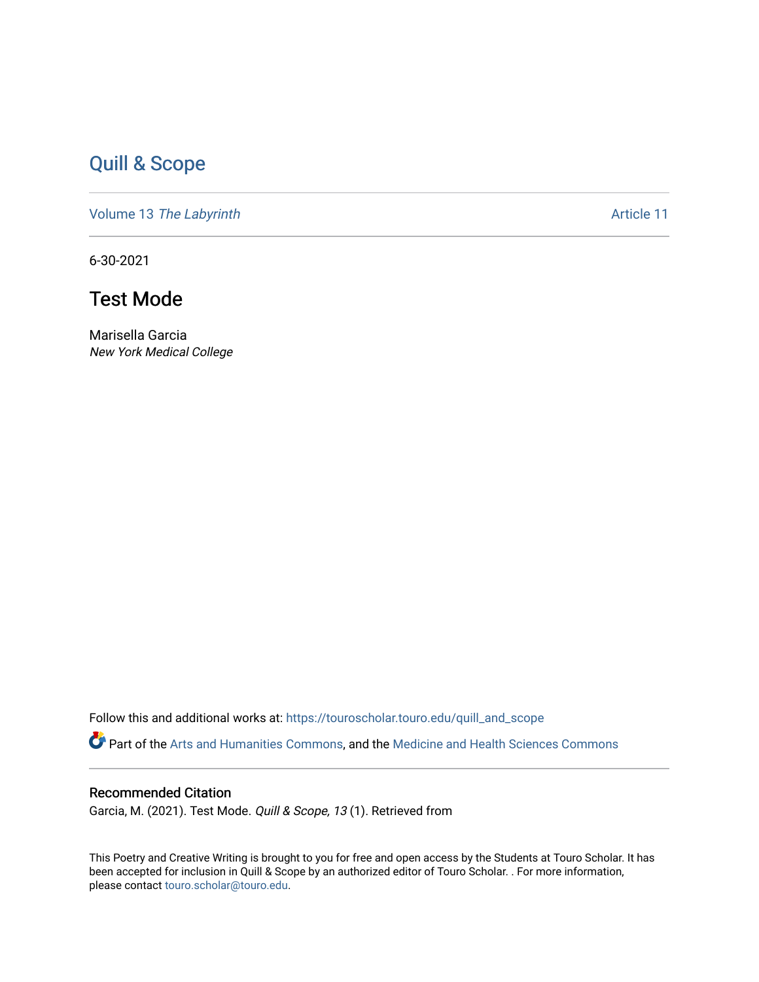## [Quill & Scope](https://touroscholar.touro.edu/quill_and_scope)

Volume 13 [The Labyrinth](https://touroscholar.touro.edu/quill_and_scope/vol13) Article 11

6-30-2021

## Test Mode

Marisella Garcia New York Medical College

Follow this and additional works at: [https://touroscholar.touro.edu/quill\\_and\\_scope](https://touroscholar.touro.edu/quill_and_scope?utm_source=touroscholar.touro.edu%2Fquill_and_scope%2Fvol13%2Fiss1%2F11&utm_medium=PDF&utm_campaign=PDFCoverPages)

Part of the [Arts and Humanities Commons,](http://network.bepress.com/hgg/discipline/438?utm_source=touroscholar.touro.edu%2Fquill_and_scope%2Fvol13%2Fiss1%2F11&utm_medium=PDF&utm_campaign=PDFCoverPages) and the [Medicine and Health Sciences Commons](http://network.bepress.com/hgg/discipline/648?utm_source=touroscholar.touro.edu%2Fquill_and_scope%2Fvol13%2Fiss1%2F11&utm_medium=PDF&utm_campaign=PDFCoverPages)

## Recommended Citation

Garcia, M. (2021). Test Mode. Quill & Scope, 13 (1). Retrieved from

This Poetry and Creative Writing is brought to you for free and open access by the Students at Touro Scholar. It has been accepted for inclusion in Quill & Scope by an authorized editor of Touro Scholar. . For more information, please contact [touro.scholar@touro.edu](mailto:touro.scholar@touro.edu).